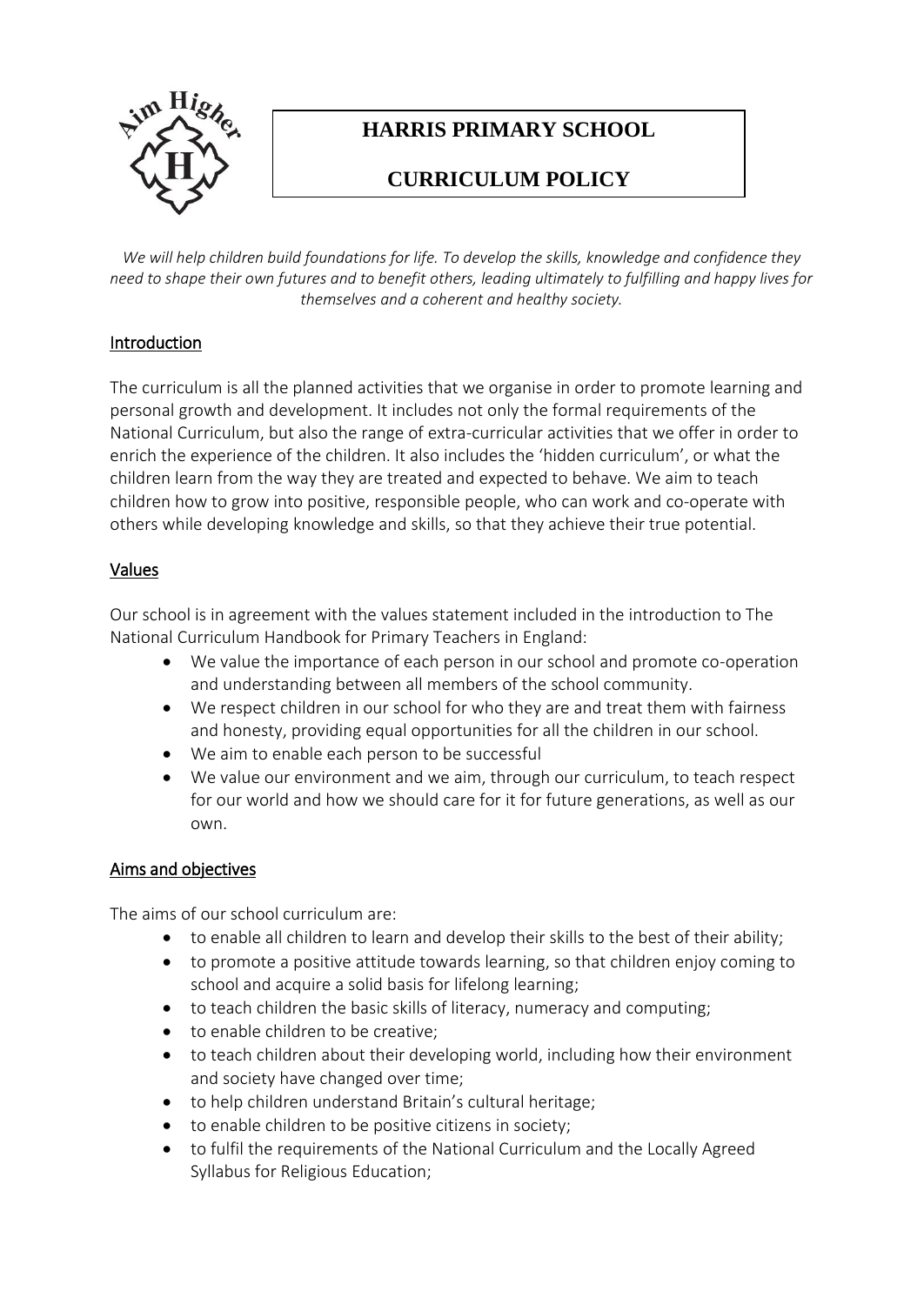

# **HARRIS PRIMARY SCHOOL**

# **CURRICULUM POLICY**

*We will help children build foundations for life. To develop the skills, knowledge and confidence they need to shape their own futures and to benefit others, leading ultimately to fulfilling and happy lives for themselves and a coherent and healthy society.*

# Introduction

The curriculum is all the planned activities that we organise in order to promote learning and personal growth and development. It includes not only the formal requirements of the National Curriculum, but also the range of extra-curricular activities that we offer in order to enrich the experience of the children. It also includes the 'hidden curriculum', or what the children learn from the way they are treated and expected to behave. We aim to teach children how to grow into positive, responsible people, who can work and co-operate with others while developing knowledge and skills, so that they achieve their true potential.

# Values

Our school is in agreement with the values statement included in the introduction to The National Curriculum Handbook for Primary Teachers in England:

- We value the importance of each person in our school and promote co-operation and understanding between all members of the school community.
- We respect children in our school for who they are and treat them with fairness and honesty, providing equal opportunities for all the children in our school.
- We aim to enable each person to be successful
- We value our environment and we aim, through our curriculum, to teach respect for our world and how we should care for it for future generations, as well as our own.

## Aims and objectives

The aims of our school curriculum are:

- to enable all children to learn and develop their skills to the best of their ability;
- to promote a positive attitude towards learning, so that children enjoy coming to school and acquire a solid basis for lifelong learning;
- to teach children the basic skills of literacy, numeracy and computing;
- to enable children to be creative;
- to teach children about their developing world, including how their environment and society have changed over time;
- to help children understand Britain's cultural heritage;
- to enable children to be positive citizens in society;
- to fulfil the requirements of the National Curriculum and the Locally Agreed Syllabus for Religious Education;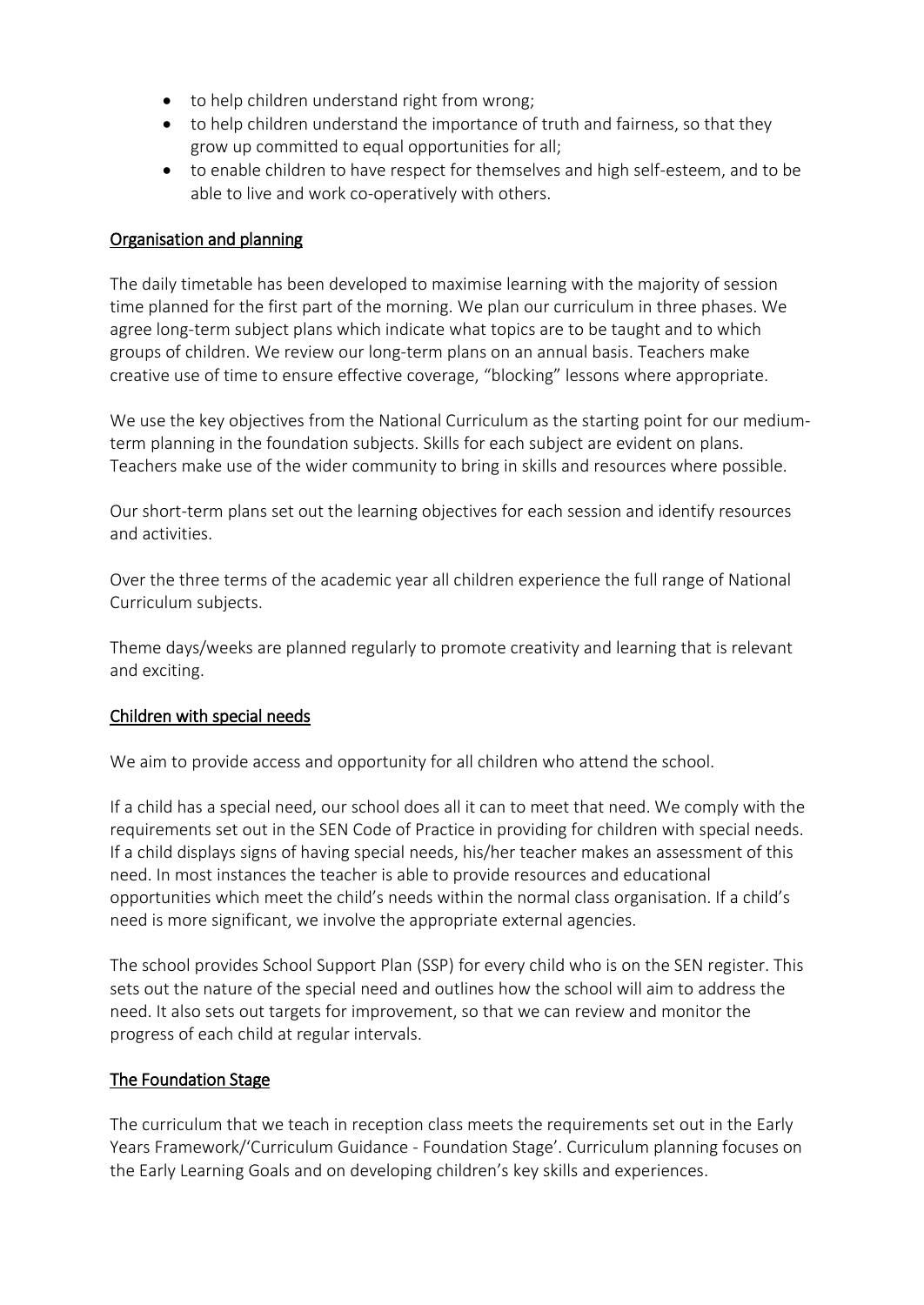- to help children understand right from wrong;
- to help children understand the importance of truth and fairness, so that they grow up committed to equal opportunities for all;
- to enable children to have respect for themselves and high self-esteem, and to be able to live and work co-operatively with others.

## Organisation and planning

The daily timetable has been developed to maximise learning with the majority of session time planned for the first part of the morning. We plan our curriculum in three phases. We agree long-term subject plans which indicate what topics are to be taught and to which groups of children. We review our long-term plans on an annual basis. Teachers make creative use of time to ensure effective coverage, "blocking" lessons where appropriate.

We use the key objectives from the National Curriculum as the starting point for our mediumterm planning in the foundation subjects. Skills for each subject are evident on plans. Teachers make use of the wider community to bring in skills and resources where possible.

Our short-term plans set out the learning objectives for each session and identify resources and activities.

Over the three terms of the academic year all children experience the full range of National Curriculum subjects.

Theme days/weeks are planned regularly to promote creativity and learning that is relevant and exciting.

#### Children with special needs

We aim to provide access and opportunity for all children who attend the school.

If a child has a special need, our school does all it can to meet that need. We comply with the requirements set out in the SEN Code of Practice in providing for children with special needs. If a child displays signs of having special needs, his/her teacher makes an assessment of this need. In most instances the teacher is able to provide resources and educational opportunities which meet the child's needs within the normal class organisation. If a child's need is more significant, we involve the appropriate external agencies.

The school provides School Support Plan (SSP) for every child who is on the SEN register. This sets out the nature of the special need and outlines how the school will aim to address the need. It also sets out targets for improvement, so that we can review and monitor the progress of each child at regular intervals.

## The Foundation Stage

The curriculum that we teach in reception class meets the requirements set out in the Early Years Framework/'Curriculum Guidance - Foundation Stage'. Curriculum planning focuses on the Early Learning Goals and on developing children's key skills and experiences.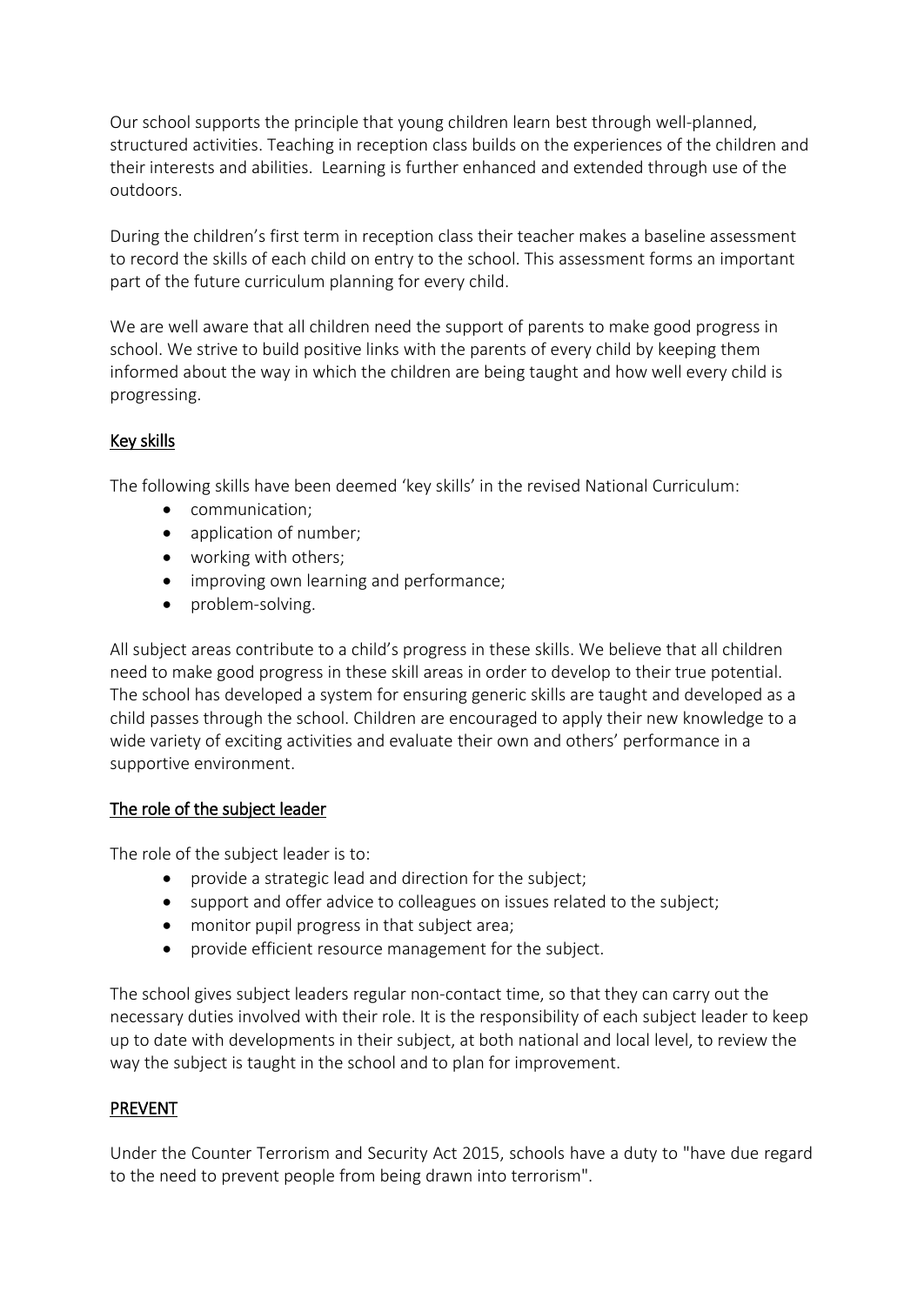Our school supports the principle that young children learn best through well-planned, structured activities. Teaching in reception class builds on the experiences of the children and their interests and abilities. Learning is further enhanced and extended through use of the outdoors.

During the children's first term in reception class their teacher makes a baseline assessment to record the skills of each child on entry to the school. This assessment forms an important part of the future curriculum planning for every child.

We are well aware that all children need the support of parents to make good progress in school. We strive to build positive links with the parents of every child by keeping them informed about the way in which the children are being taught and how well every child is progressing.

# Key skills

The following skills have been deemed 'key skills' in the revised National Curriculum:

- communication;
- application of number;
- working with others;
- improving own learning and performance;
- problem-solving.

All subject areas contribute to a child's progress in these skills. We believe that all children need to make good progress in these skill areas in order to develop to their true potential. The school has developed a system for ensuring generic skills are taught and developed as a child passes through the school. Children are encouraged to apply their new knowledge to a wide variety of exciting activities and evaluate their own and others' performance in a supportive environment.

## The role of the subject leader

The role of the subject leader is to:

- provide a strategic lead and direction for the subject;
- support and offer advice to colleagues on issues related to the subject;
- monitor pupil progress in that subject area;
- provide efficient resource management for the subject.

The school gives subject leaders regular non-contact time, so that they can carry out the necessary duties involved with their role. It is the responsibility of each subject leader to keep up to date with developments in their subject, at both national and local level, to review the way the subject is taught in the school and to plan for improvement.

## **PREVENT**

Under the Counter Terrorism and Security Act 2015, schools have a duty to "have due regard to the need to prevent people from being drawn into terrorism".